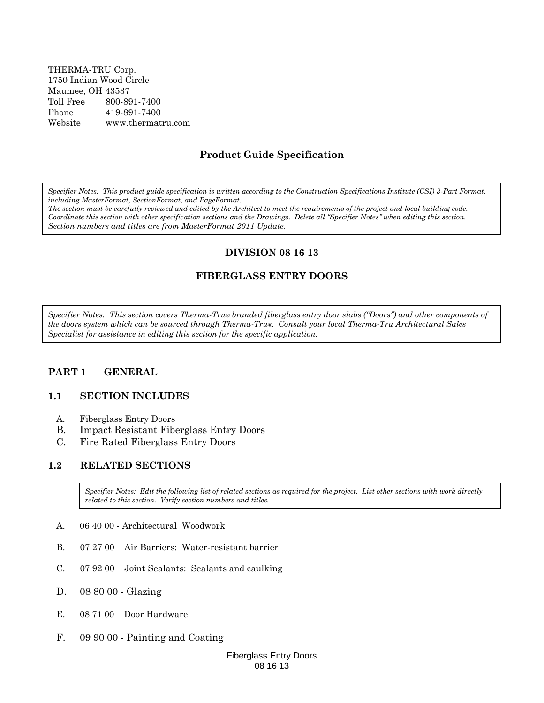THERMA-TRU Corp. 1750 Indian Wood Circle Maumee, OH 43537 Toll Free 800-891-7400 Phone 419-891-7400 Website www.thermatru.com

## **Product Guide Specification**

*Specifier Notes: This product guide specification is written according to the Construction Specifications Institute (CSI) 3-Part Format, including MasterFormat, SectionFormat, and PageFormat.*

*The section must be carefully reviewed and edited by the Architect to meet the requirements of the project and local building code. Coordinate this section with other specification sections and the Drawings. Delete all "Specifier Notes" when editing this section. Section numbers and titles are from MasterFormat 2011 Update.*

#### **DIVISION 08 16 13**

## **FIBERGLASS ENTRY DOORS**

*Specifier Notes: This section covers Therma-Tru® branded fiberglass entry door slabs ("Doors") and other components of the doors system which can be sourced through Therma-Tru®. Consult your local Therma-Tru Architectural Sales Specialist for assistance in editing this section for the specific application.*

#### **PART 1 GENERAL**

#### **1.1 SECTION INCLUDES**

- A. Fiberglass Entry Doors
- B. Impact Resistant Fiberglass Entry Doors
- C. Fire Rated Fiberglass Entry Doors

#### **1.2 RELATED SECTIONS**

*Specifier Notes: Edit the following list of related sections as required for the project. List other sections with work directly related to this section. Verify section numbers and titles.*

- A. 06 40 00 Architectural Woodwork
- B. 07 27 00 Air Barriers: Water-resistant barrier
- C. 07 92 00 Joint Sealants: Sealants and caulking
- D. 08 80 00 Glazing
- E. 08 71 00 Door Hardware
- F. 09 90 00 Painting and Coating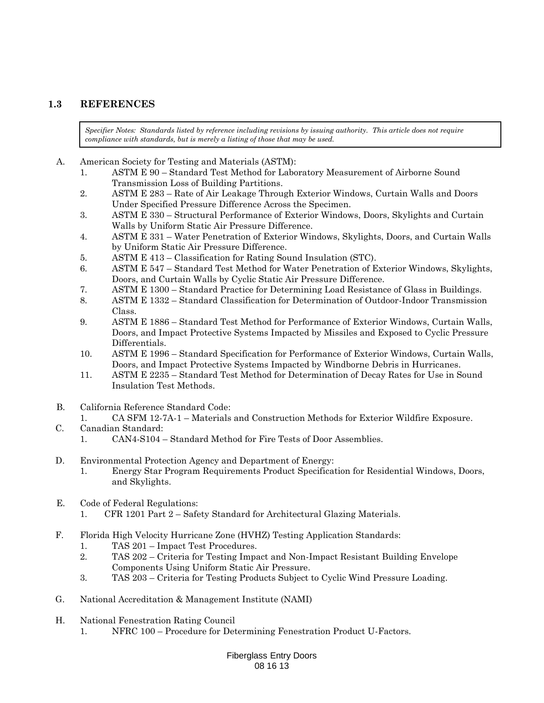## **1.3 REFERENCES**

*Specifier Notes: Standards listed by reference including revisions by issuing authority. This article does not require compliance with standards, but is merely a listing of those that may be used.*

- A. American Society for Testing and Materials (ASTM):
	- 1. ASTM E 90 Standard Test Method for Laboratory Measurement of Airborne Sound Transmission Loss of Building Partitions.
	- 2. ASTM E 283 Rate of Air Leakage Through Exterior Windows, Curtain Walls and Doors Under Specified Pressure Difference Across the Specimen.
	- 3. ASTM E 330 Structural Performance of Exterior Windows, Doors, Skylights and Curtain Walls by Uniform Static Air Pressure Difference.
	- 4. ASTM E 331 Water Penetration of Exterior Windows, Skylights, Doors, and Curtain Walls by Uniform Static Air Pressure Difference.
	- 5. ASTM E 413 Classification for Rating Sound Insulation (STC).
	- 6. ASTM E 547 Standard Test Method for Water Penetration of Exterior Windows, Skylights, Doors, and Curtain Walls by Cyclic Static Air Pressure Difference.
	- 7. ASTM E 1300 Standard Practice for Determining Load Resistance of Glass in Buildings.
	- 8. ASTM E 1332 Standard Classification for Determination of Outdoor-Indoor Transmission Class.
	- 9. ASTM E 1886 Standard Test Method for Performance of Exterior Windows, Curtain Walls, Doors, and Impact Protective Systems Impacted by Missiles and Exposed to Cyclic Pressure Differentials.
	- 10. ASTM E 1996 Standard Specification for Performance of Exterior Windows, Curtain Walls, Doors, and Impact Protective Systems Impacted by Windborne Debris in Hurricanes.
	- 11. ASTM E 2235 Standard Test Method for Determination of Decay Rates for Use in Sound Insulation Test Methods.
- B. California Reference Standard Code:
	- 1. CA SFM 12-7A-1 Materials and Construction Methods for Exterior Wildfire Exposure.
- C. Canadian Standard:
	- 1. CAN4-S104 Standard Method for Fire Tests of Door Assemblies.
- D. Environmental Protection Agency and Department of Energy:
	- 1. Energy Star Program Requirements Product Specification for Residential Windows, Doors, and Skylights.
- E. Code of Federal Regulations:
	- 1. CFR 1201 Part 2 Safety Standard for Architectural Glazing Materials.
- F. Florida High Velocity Hurricane Zone (HVHZ) Testing Application Standards:
	- 1. TAS 201 Impact Test Procedures.
	- 2. TAS 202 Criteria for Testing Impact and Non-Impact Resistant Building Envelope Components Using Uniform Static Air Pressure.
	- 3. TAS 203 Criteria for Testing Products Subject to Cyclic Wind Pressure Loading.
- G. National Accreditation & Management Institute (NAMI)
- H. National Fenestration Rating Council
	- 1. NFRC 100 Procedure for Determining Fenestration Product U-Factors.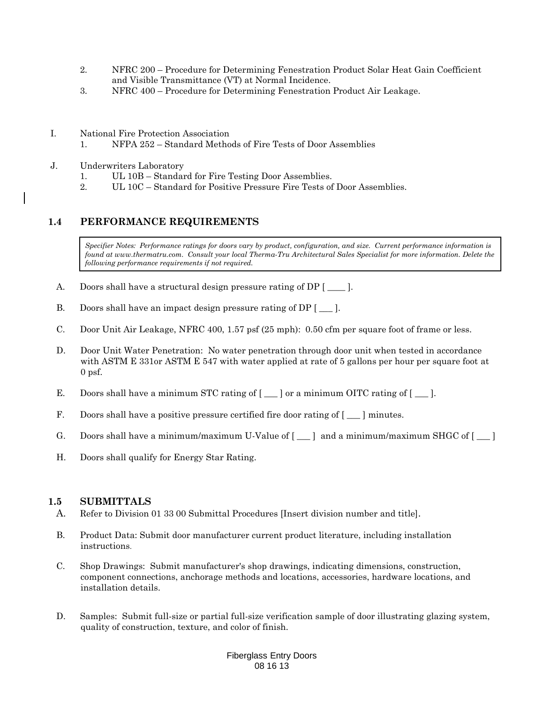- 2. NFRC 200 Procedure for Determining Fenestration Product Solar Heat Gain Coefficient and Visible Transmittance (VT) at Normal Incidence.
- 3. NFRC 400 Procedure for Determining Fenestration Product Air Leakage.
- I. National Fire Protection Association
	- 1. NFPA 252 Standard Methods of Fire Tests of Door Assemblies
- J. Underwriters Laboratory
	- 1. UL 10B Standard for Fire Testing Door Assemblies.
	- 2. UL 10C Standard for Positive Pressure Fire Tests of Door Assemblies.

## **1.4 PERFORMANCE REQUIREMENTS**

*Specifier Notes: Performance ratings for doors vary by product, configuration, and size. Current performance information is found at www.thermatru.com. Consult your local Therma-Tru Architectural Sales Specialist for more information. Delete the following performance requirements if not required.*

- A. Doors shall have a structural design pressure rating of DP [  $\_\_$  ].
- B. Doors shall have an impact design pressure rating of DP [  $\_\_$  ].
- C. Door Unit Air Leakage, NFRC 400, 1.57 psf (25 mph): 0.50 cfm per square foot of frame or less.
- D. Door Unit Water Penetration: No water penetration through door unit when tested in accordance with ASTM E 331or ASTM E 547 with water applied at rate of 5 gallons per hour per square foot at 0 psf.
- E. Doors shall have a minimum STC rating of [\_\_] or a minimum OITC rating of [\_\_].
- F. Doors shall have a positive pressure certified fire door rating of  $[\_\]$  minutes.
- G. Doors shall have a minimum/maximum U-Value of  $[\_\_]$  and a minimum/maximum SHGC of  $[\_\_]$
- H. Doors shall qualify for Energy Star Rating.

#### **1.5 SUBMITTALS**

- A. Refer to Division 01 33 00 Submittal Procedures [Insert division number and title].
- B. Product Data: Submit door manufacturer current product literature, including installation instructions.
- C. Shop Drawings: Submit manufacturer's shop drawings, indicating dimensions, construction, component connections, anchorage methods and locations, accessories, hardware locations, and installation details.
- D. Samples: Submit full-size or partial full-size verification sample of door illustrating glazing system, quality of construction, texture, and color of finish.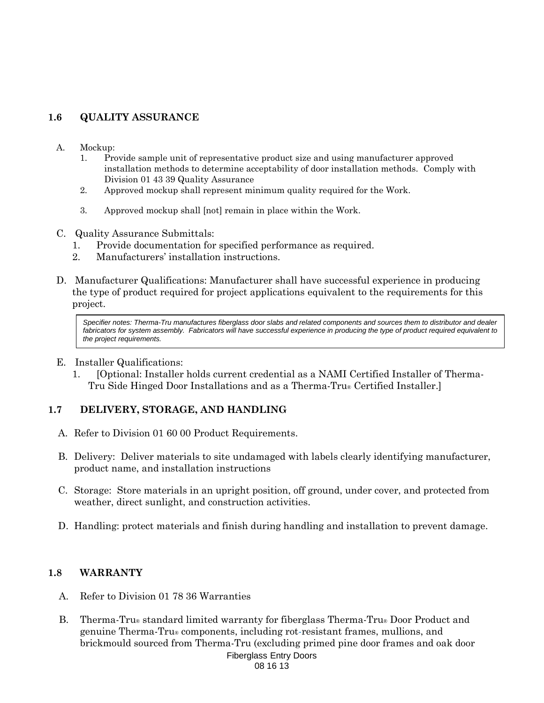# **1.6 QUALITY ASSURANCE**

- A. Mockup:
	- 1. Provide sample unit of representative product size and using manufacturer approved installation methods to determine acceptability of door installation methods. Comply with Division 01 43 39 Quality Assurance
	- 2. Approved mockup shall represent minimum quality required for the Work.
	- 3. Approved mockup shall [not] remain in place within the Work.
- C. Quality Assurance Submittals:
	- 1. Provide documentation for specified performance as required.
	- 2. Manufacturers' installation instructions.
- D. Manufacturer Qualifications: Manufacturer shall have successful experience in producing the type of product required for project applications equivalent to the requirements for this project.

*Specifier notes: Therma-Tru manufactures fiberglass door slabs and related components and sources them to distributor and dealer*  fabricators for system assembly. Fabricators will have successful experience in producing the type of product required equivalent to *the project requirements.*

- E. Installer Qualifications:
	- 1. [Optional: Installer holds current credential as a NAMI Certified Installer of Therma-Tru Side Hinged Door Installations and as a Therma-Tru® Certified Installer.]

# **1.7 DELIVERY, STORAGE, AND HANDLING**

- A. Refer to Division 01 60 00 Product Requirements.
- B. Delivery: Deliver materials to site undamaged with labels clearly identifying manufacturer, product name, and installation instructions
- C. Storage: Store materials in an upright position, off ground, under cover, and protected from weather, direct sunlight, and construction activities.
- D. Handling: protect materials and finish during handling and installation to prevent damage.

## **1.8 WARRANTY**

- A. Refer to Division 01 78 36 Warranties
- B. Therma-Tru® standard limited warranty for fiberglass Therma-Tru® Door Product and genuine Therma-Tru® components, including rot-resistant frames, mullions, and brickmould sourced from Therma-Tru (excluding primed pine door frames and oak door

```
Fiberglass Entry Doors
08 16 13
```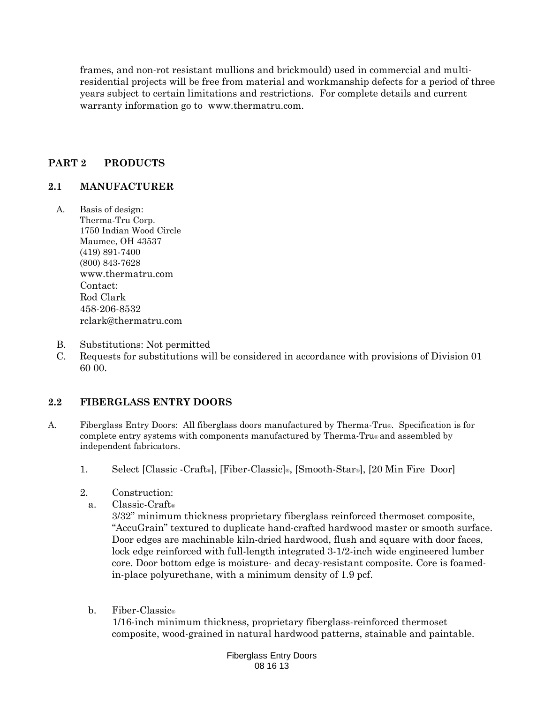frames, and non-rot resistant mullions and brickmould) used in commercial and multiresidential projects will be free from material and workmanship defects for a period of three years subject to certain limitations and restrictions. For complete details and current warranty information go to [www.thermatru.com.](http://www.thermatru.com/)

# **PART 2 PRODUCTS**

# **2.1 MANUFACTURER**

- A. Basis of design: Therma-Tru Corp. 1750 Indian Wood Circle Maumee, OH 43537 (419) 891-7400 (800) 843-7628 [www.thermatru.com](http://www.thermatru.com/) Contact: Rod Clark 458-206-8532 rclark@thermatru.com
- B. Substitutions: Not permitted
- C. Requests for substitutions will be considered in accordance with provisions of Division 01 60 00.

## **2.2 FIBERGLASS ENTRY DOORS**

- A. Fiberglass Entry Doors: All fiberglass doors manufactured by Therma-Tru®. Specification is for complete entry systems with components manufactured by Therma-Tru® and assembled by independent fabricators.
	- 1. Select [Classic -Craft®], [Fiber-Classic]®, [Smooth-Star®], [20 Min Fire Door]
	- 2. Construction:
		- a. Classic-Craft®

3/32" minimum thickness proprietary fiberglass reinforced thermoset composite, "AccuGrain" textured to duplicate hand-crafted hardwood master or smooth surface. Door edges are machinable kiln-dried hardwood, flush and square with door faces, lock edge reinforced with full-length integrated 3-1/2-inch wide engineered lumber core. Door bottom edge is moisture- and decay-resistant composite. Core is foamedin-place polyurethane, with a minimum density of 1.9 pcf.

b. Fiber-Classic®

 1/16-inch minimum thickness, proprietary fiberglass-reinforced thermoset composite, wood-grained in natural hardwood patterns, stainable and paintable.

> Fiberglass Entry Doors 08 16 13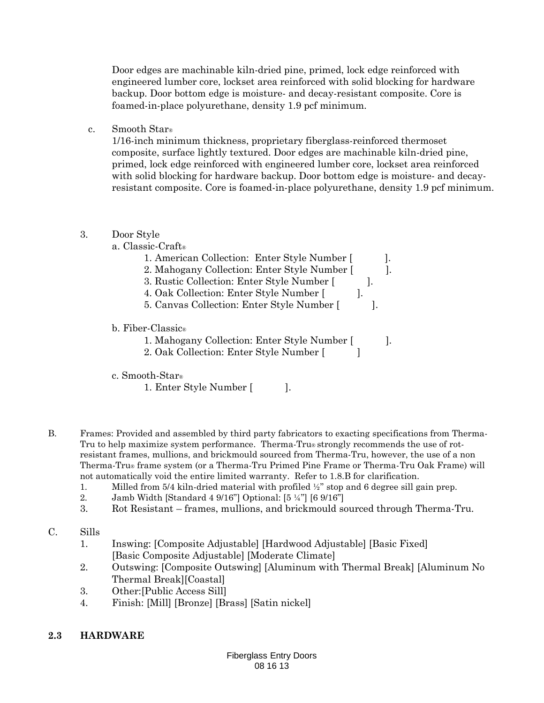Door edges are machinable kiln-dried pine, primed, lock edge reinforced with engineered lumber core, lockset area reinforced with solid blocking for hardware backup. Door bottom edge is moisture- and decay-resistant composite. Core is foamed-in-place polyurethane, density 1.9 pcf minimum.

c. Smooth Star®

1/16-inch minimum thickness, proprietary fiberglass-reinforced thermoset composite, surface lightly textured. Door edges are machinable kiln-dried pine, primed, lock edge reinforced with engineered lumber core, lockset area reinforced with solid blocking for hardware backup. Door bottom edge is moisture- and decayresistant composite. Core is foamed-in-place polyurethane, density 1.9 pcf minimum.

## 3. Door Style

| a. Classic-Craft |
|------------------|
|------------------|

| 1. American Collection: Enter Style Number [ |  |
|----------------------------------------------|--|
| 2. Mahogany Collection: Enter Style Number [ |  |
| 3. Rustic Collection: Enter Style Number [   |  |
| 4. Oak Collection: Enter Style Number [      |  |
| 5. Canvas Collection: Enter Style Number [   |  |
| b. Fiber-Classic®                            |  |
| 1. Mahogany Collection: Enter Style Number [ |  |
| 2. Oak Collection: Enter Style Number [      |  |

## c. Smooth-Star®

- 1. Enter Style Number [ ].
- B. Frames: Provided and assembled by third party fabricators to exacting specifications from Therma-Tru to help maximize system performance. Therma-Tru® strongly recommends the use of rotresistant frames, mullions, and brickmould sourced from Therma-Tru, however, the use of a non Therma-Tru® frame system (or a Therma-Tru Primed Pine Frame or Therma-Tru Oak Frame) will not automatically void the entire limited warranty. Refer to 1.8.B for clarification.
	- 1. Milled from 5/4 kiln-dried material with profiled  $\frac{1}{2}$  stop and 6 degree sill gain prep.
	- 2. Jamb Width [Standard 4 9/16"] Optional: [5 ¼"] [6 9/16"]
	- 3. Rot Resistant frames, mullions, and brickmould sourced through Therma-Tru.
- C. Sills
	- 1. Inswing: [Composite Adjustable] [Hardwood Adjustable] [Basic Fixed] [Basic Composite Adjustable] [Moderate Climate]
	- 2. Outswing: [Composite Outswing] [Aluminum with Thermal Break] [Aluminum No Thermal Break][Coastal]
	- 3. Other:[Public Access Sill]
	- 4. Finish: [Mill] [Bronze] [Brass] [Satin nickel]

# **2.3 HARDWARE**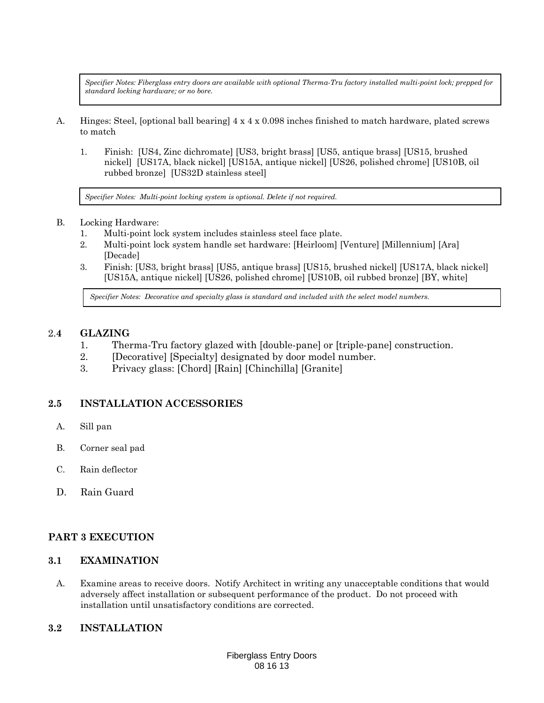*Specifier Notes: Fiberglass entry doors are available with optional Therma-Tru factory installed multi-point lock; prepped for standard locking hardware; or no bore.* 

- A. Hinges: Steel, [optional ball bearing] 4 x 4 x 0.098 inches finished to match hardware, plated screws to match
	- 1. Finish: [US4, Zinc dichromate] [US3, bright brass] [US5, antique brass] [US15, brushed nickel] [US17A, black nickel] [US15A, antique nickel] [US26, polished chrome] [US10B, oil rubbed bronze] [US32D stainless steel]

*Specifier Notes: Multi-point locking system is optional. Delete if not required.*

- B. Locking Hardware:
	- 1. Multi-point lock system includes stainless steel face plate.
	- 2. Multi-point lock system handle set hardware: [Heirloom] [Venture] [Millennium] [Ara] [Decade]
	- 3. Finish: [US3, bright brass] [US5, antique brass] [US15, brushed nickel] [US17A, black nickel] [US15A, antique nickel] [US26, polished chrome] [US10B, oil rubbed bronze] [BY, white]

*Specifier Notes: Decorative and specialty glass is standard and included with the select model numbers.*

#### 2.**4 GLAZING**

- 1. Therma-Tru factory glazed with [double-pane] or [triple-pane] construction.
- 2. [Decorative] [Specialty] designated by door model number.
- 3. Privacy glass: [Chord] [Rain] [Chinchilla] [Granite]

## **2.5 INSTALLATION ACCESSORIES**

- A. Sill pan
- B. Corner seal pad
- C. Rain deflector
- D. Rain Guard

## **PART 3 EXECUTION**

#### **3.1 EXAMINATION**

A. Examine areas to receive doors. Notify Architect in writing any unacceptable conditions that would adversely affect installation or subsequent performance of the product. Do not proceed with installation until unsatisfactory conditions are corrected.

## **3.2 INSTALLATION**